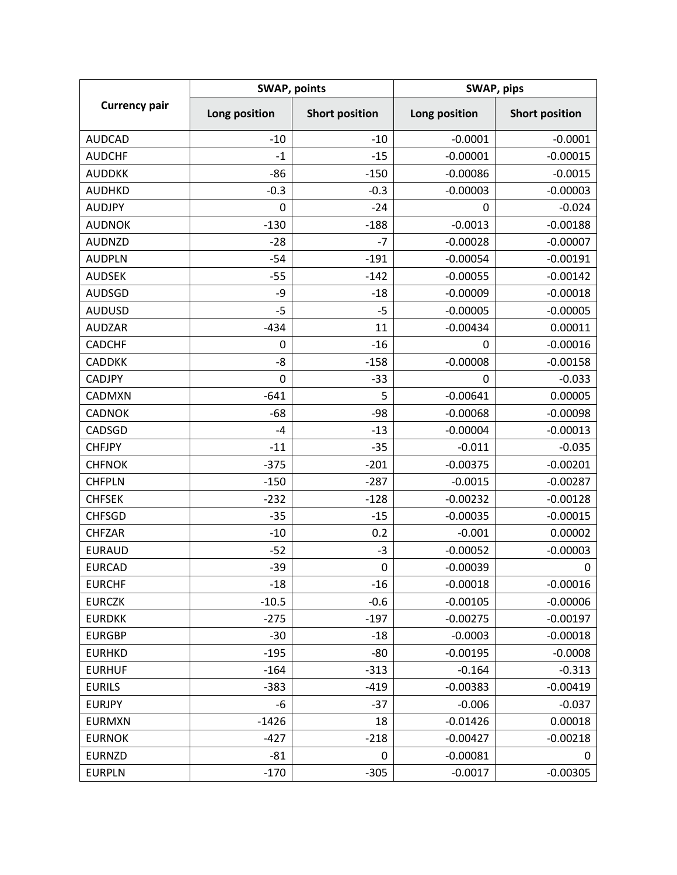| <b>Currency pair</b> | <b>SWAP, points</b> |                       | SWAP, pips    |                       |
|----------------------|---------------------|-----------------------|---------------|-----------------------|
|                      | Long position       | <b>Short position</b> | Long position | <b>Short position</b> |
| <b>AUDCAD</b>        | $-10$               | $-10$                 | $-0.0001$     | $-0.0001$             |
| <b>AUDCHF</b>        | $-1$                | $-15$                 | $-0.00001$    | $-0.00015$            |
| <b>AUDDKK</b>        | $-86$               | $-150$                | $-0.00086$    | $-0.0015$             |
| <b>AUDHKD</b>        | $-0.3$              | $-0.3$                | $-0.00003$    | $-0.00003$            |
| <b>AUDJPY</b>        | $\mathbf 0$         | $-24$                 | 0             | $-0.024$              |
| <b>AUDNOK</b>        | $-130$              | $-188$                | $-0.0013$     | $-0.00188$            |
| <b>AUDNZD</b>        | $-28$               | $-7$                  | $-0.00028$    | $-0.00007$            |
| <b>AUDPLN</b>        | $-54$               | $-191$                | $-0.00054$    | $-0.00191$            |
| <b>AUDSEK</b>        | $-55$               | $-142$                | $-0.00055$    | $-0.00142$            |
| <b>AUDSGD</b>        | -9                  | $-18$                 | $-0.00009$    | $-0.00018$            |
| <b>AUDUSD</b>        | $-5$                | $-5$                  | $-0.00005$    | $-0.00005$            |
| <b>AUDZAR</b>        | $-434$              | 11                    | $-0.00434$    | 0.00011               |
| <b>CADCHF</b>        | $\mathbf 0$         | $-16$                 | 0             | $-0.00016$            |
| <b>CADDKK</b>        | $-8$                | $-158$                | $-0.00008$    | $-0.00158$            |
| <b>CADJPY</b>        | $\mathbf 0$         | $-33$                 | 0             | $-0.033$              |
| CADMXN               | $-641$              | 5                     | $-0.00641$    | 0.00005               |
| <b>CADNOK</b>        | $-68$               | $-98$                 | $-0.00068$    | $-0.00098$            |
| CADSGD               | $-4$                | $-13$                 | $-0.00004$    | $-0.00013$            |
| <b>CHFJPY</b>        | $-11$               | $-35$                 | $-0.011$      | $-0.035$              |
| <b>CHFNOK</b>        | $-375$              | $-201$                | $-0.00375$    | $-0.00201$            |
| <b>CHFPLN</b>        | $-150$              | $-287$                | $-0.0015$     | $-0.00287$            |
| <b>CHFSEK</b>        | $-232$              | $-128$                | $-0.00232$    | $-0.00128$            |
| <b>CHFSGD</b>        | $-35$               | $-15$                 | $-0.00035$    | $-0.00015$            |
| <b>CHFZAR</b>        | $-10$               | 0.2                   | $-0.001$      | 0.00002               |
| <b>EURAUD</b>        | $-52$               | $-3$                  | $-0.00052$    | $-0.00003$            |
| <b>EURCAD</b>        | $-39$               | 0                     | $-0.00039$    | 0                     |
| <b>EURCHF</b>        | $-18$               | $-16$                 | $-0.00018$    | $-0.00016$            |
| <b>EURCZK</b>        | $-10.5$             | $-0.6$                | $-0.00105$    | $-0.00006$            |
| <b>EURDKK</b>        | $-275$              | $-197$                | $-0.00275$    | $-0.00197$            |
| <b>EURGBP</b>        | $-30$               | $-18$                 | $-0.0003$     | $-0.00018$            |
| <b>EURHKD</b>        | $-195$              | $-80$                 | $-0.00195$    | $-0.0008$             |
| <b>EURHUF</b>        | $-164$              | $-313$                | $-0.164$      | $-0.313$              |
| <b>EURILS</b>        | $-383$              | $-419$                | $-0.00383$    | $-0.00419$            |
| <b>EURJPY</b>        | -6                  | $-37$                 | $-0.006$      | $-0.037$              |
| <b>EURMXN</b>        | $-1426$             | 18                    | $-0.01426$    | 0.00018               |
| <b>EURNOK</b>        | $-427$              | $-218$                | $-0.00427$    | $-0.00218$            |
| <b>EURNZD</b>        | $-81$               | 0                     | $-0.00081$    | 0                     |
| <b>EURPLN</b>        | $-170$              | $-305$                | $-0.0017$     | $-0.00305$            |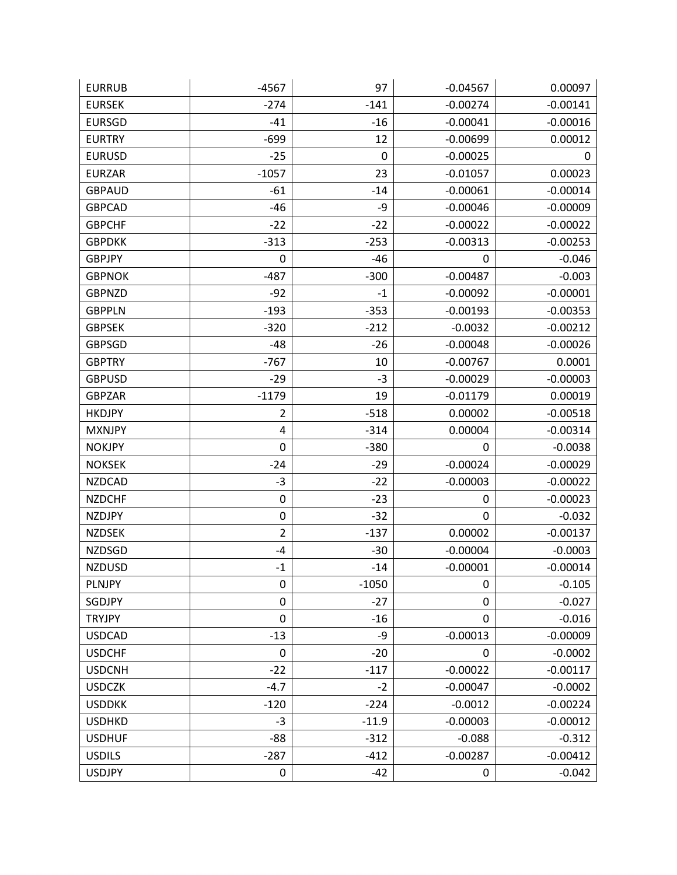| <b>EURRUB</b> | $-4567$          | 97      | $-0.04567$       | 0.00097    |
|---------------|------------------|---------|------------------|------------|
| <b>EURSEK</b> | $-274$           | $-141$  | $-0.00274$       | $-0.00141$ |
| <b>EURSGD</b> | $-41$            | $-16$   | $-0.00041$       | $-0.00016$ |
| <b>EURTRY</b> | $-699$           | 12      | $-0.00699$       | 0.00012    |
| <b>EURUSD</b> | $-25$            | 0       | $-0.00025$       | 0          |
| <b>EURZAR</b> | $-1057$          | 23      | $-0.01057$       | 0.00023    |
| <b>GBPAUD</b> | $-61$            | $-14$   | $-0.00061$       | $-0.00014$ |
| <b>GBPCAD</b> | $-46$            | -9      | $-0.00046$       | $-0.00009$ |
| <b>GBPCHF</b> | $-22$            | $-22$   | $-0.00022$       | $-0.00022$ |
| <b>GBPDKK</b> | $-313$           | $-253$  | $-0.00313$       | $-0.00253$ |
| <b>GBPJPY</b> | 0                | $-46$   | 0                | $-0.046$   |
| <b>GBPNOK</b> | $-487$           | $-300$  | $-0.00487$       | $-0.003$   |
| <b>GBPNZD</b> | $-92$            | $-1$    | $-0.00092$       | $-0.00001$ |
| <b>GBPPLN</b> | $-193$           | $-353$  | $-0.00193$       | $-0.00353$ |
| <b>GBPSEK</b> | $-320$           | $-212$  | $-0.0032$        | $-0.00212$ |
| <b>GBPSGD</b> | $-48$            | $-26$   | $-0.00048$       | $-0.00026$ |
| <b>GBPTRY</b> | $-767$           | 10      | $-0.00767$       | 0.0001     |
| <b>GBPUSD</b> | $-29$            | -3      | $-0.00029$       | $-0.00003$ |
| <b>GBPZAR</b> | $-1179$          | 19      | $-0.01179$       | 0.00019    |
| <b>HKDJPY</b> | $\overline{2}$   | $-518$  | 0.00002          | $-0.00518$ |
| <b>MXNJPY</b> | 4                | $-314$  | 0.00004          | $-0.00314$ |
| <b>NOKJPY</b> | $\mathbf 0$      | $-380$  | $\mathbf 0$      | $-0.0038$  |
| <b>NOKSEK</b> | $-24$            | $-29$   | $-0.00024$       | $-0.00029$ |
| <b>NZDCAD</b> | $-3$             | $-22$   | $-0.00003$       | $-0.00022$ |
| <b>NZDCHF</b> | 0                | $-23$   | 0                | $-0.00023$ |
| <b>NZDJPY</b> | $\pmb{0}$        | $-32$   | $\mathbf 0$      | $-0.032$   |
| <b>NZDSEK</b> | $\overline{2}$   | $-137$  | 0.00002          | $-0.00137$ |
| <b>NZDSGD</b> | $-4$             | $-30$   | $-0.00004$       | $-0.0003$  |
| <b>NZDUSD</b> | $-1$             | $-14$   | $-0.00001$       | $-0.00014$ |
| <b>PLNJPY</b> | 0                | $-1050$ | $\mathbf 0$      | $-0.105$   |
| SGDJPY        | $\mathbf 0$      | $-27$   | $\boldsymbol{0}$ | $-0.027$   |
| <b>TRYJPY</b> | $\boldsymbol{0}$ | $-16$   | 0                | $-0.016$   |
| <b>USDCAD</b> | $-13$            | -9      | $-0.00013$       | $-0.00009$ |
| <b>USDCHF</b> | $\mathbf 0$      | $-20$   | 0                | $-0.0002$  |
| <b>USDCNH</b> | $-22$            | $-117$  | $-0.00022$       | $-0.00117$ |
| <b>USDCZK</b> | $-4.7$           | $-2$    | $-0.00047$       | $-0.0002$  |
| <b>USDDKK</b> | $-120$           | $-224$  | $-0.0012$        | $-0.00224$ |
| <b>USDHKD</b> | $-3$             | $-11.9$ | $-0.00003$       | $-0.00012$ |
| <b>USDHUF</b> | -88              | $-312$  | $-0.088$         | $-0.312$   |
| <b>USDILS</b> | $-287$           | $-412$  | $-0.00287$       | $-0.00412$ |
| <b>USDJPY</b> | $\pmb{0}$        | $-42$   | $\pmb{0}$        | $-0.042$   |